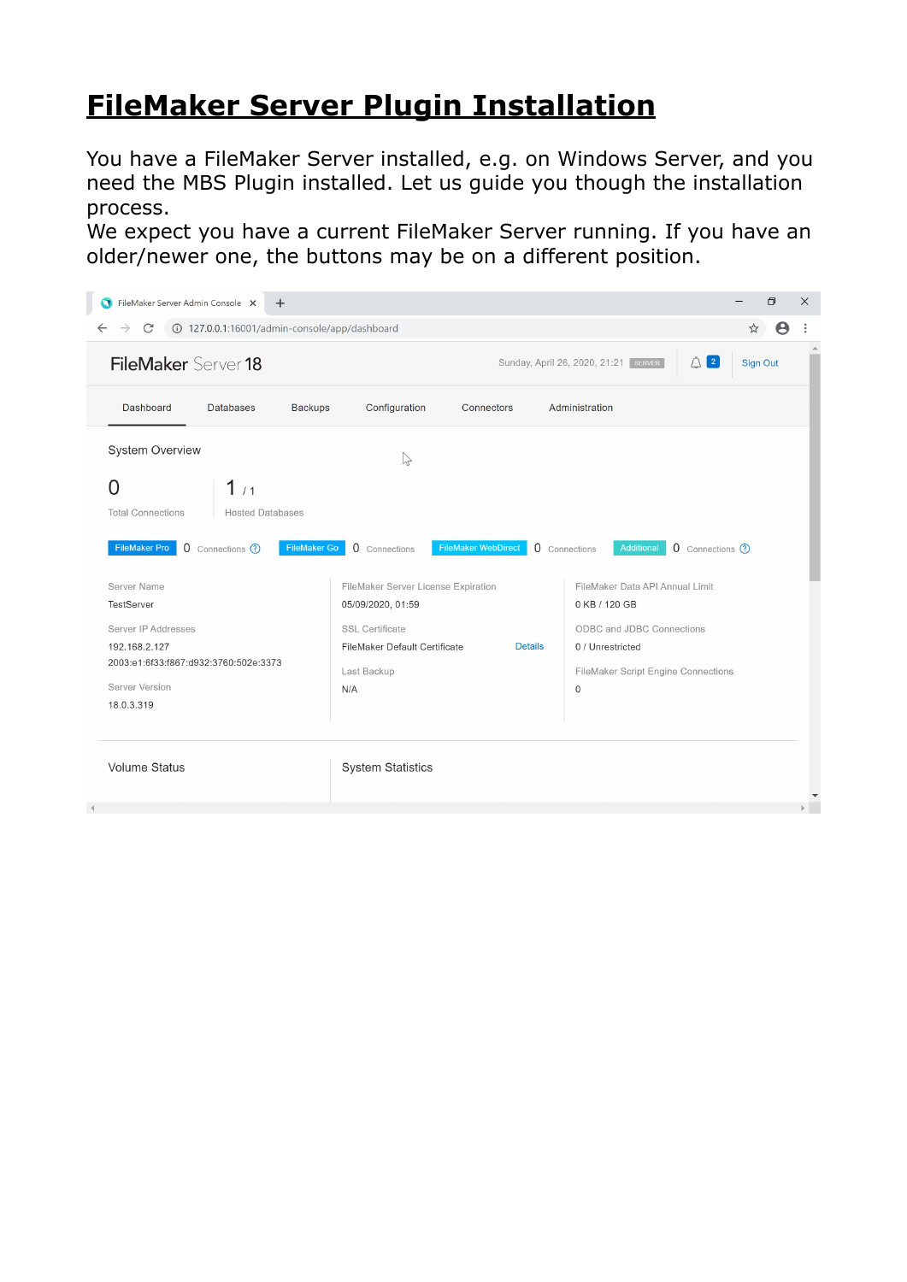# **[FileMaker Server Plugin Installation](https://www.mbs-plugins.com/archive/2020-04-27/FileMaker_Server_Plugin_Instal/monkeybreadsoftware_blog_filemaker)**

You have a FileMaker Server installed, e.g. on Windows Server, and you need the MBS Plugin installed. Let us guide you though the installation process.

We expect you have a current FileMaker Server running. If you have an older/newer one, the buttons may be on a different position.

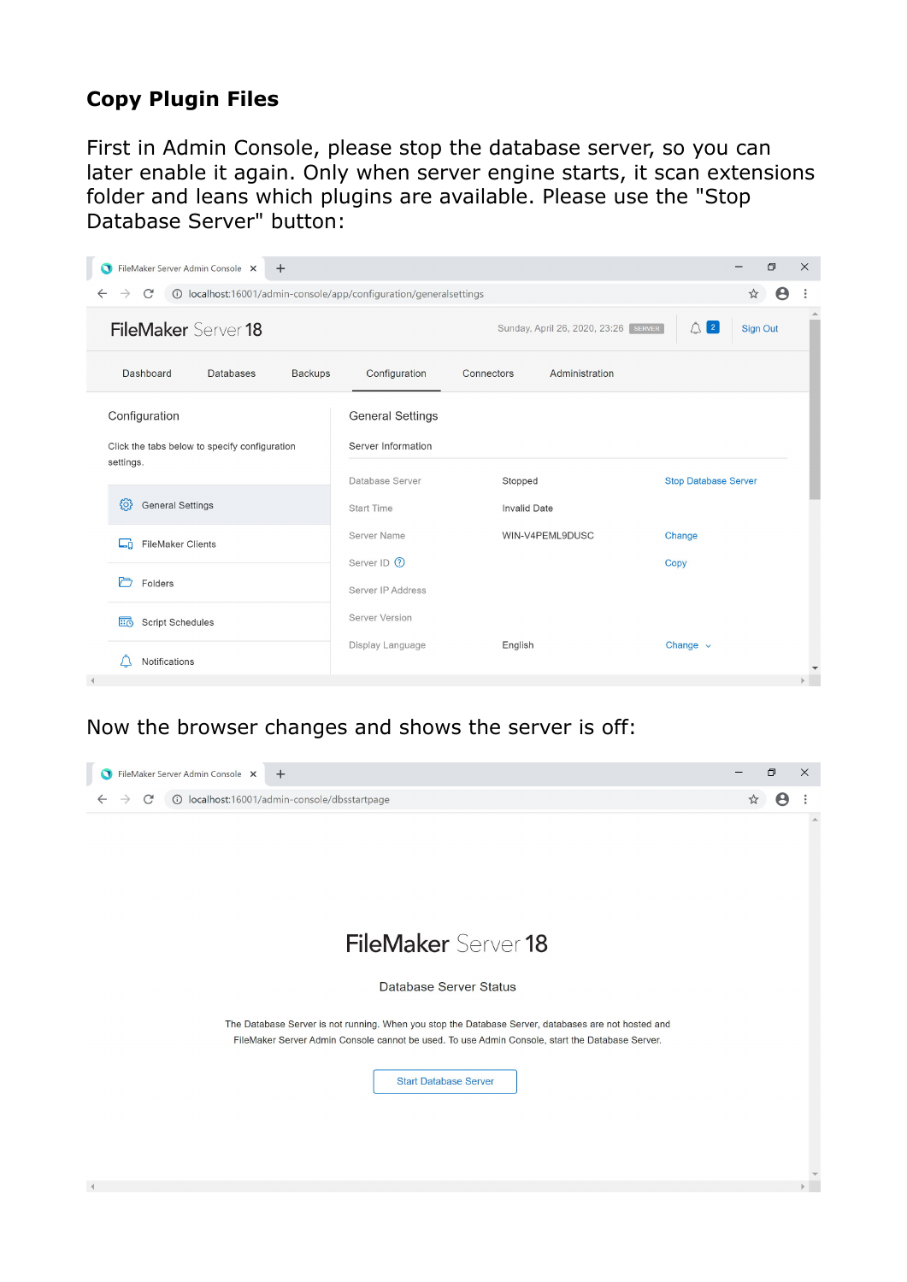### **Copy Plugin Files**

First in Admin Console, please stop the database server, so you can later enable it again. Only when server engine starts, it scan extensions folder and leans which plugins are available. Please use the "Stop Database Server" button:



Now the browser changes and shows the server is off:

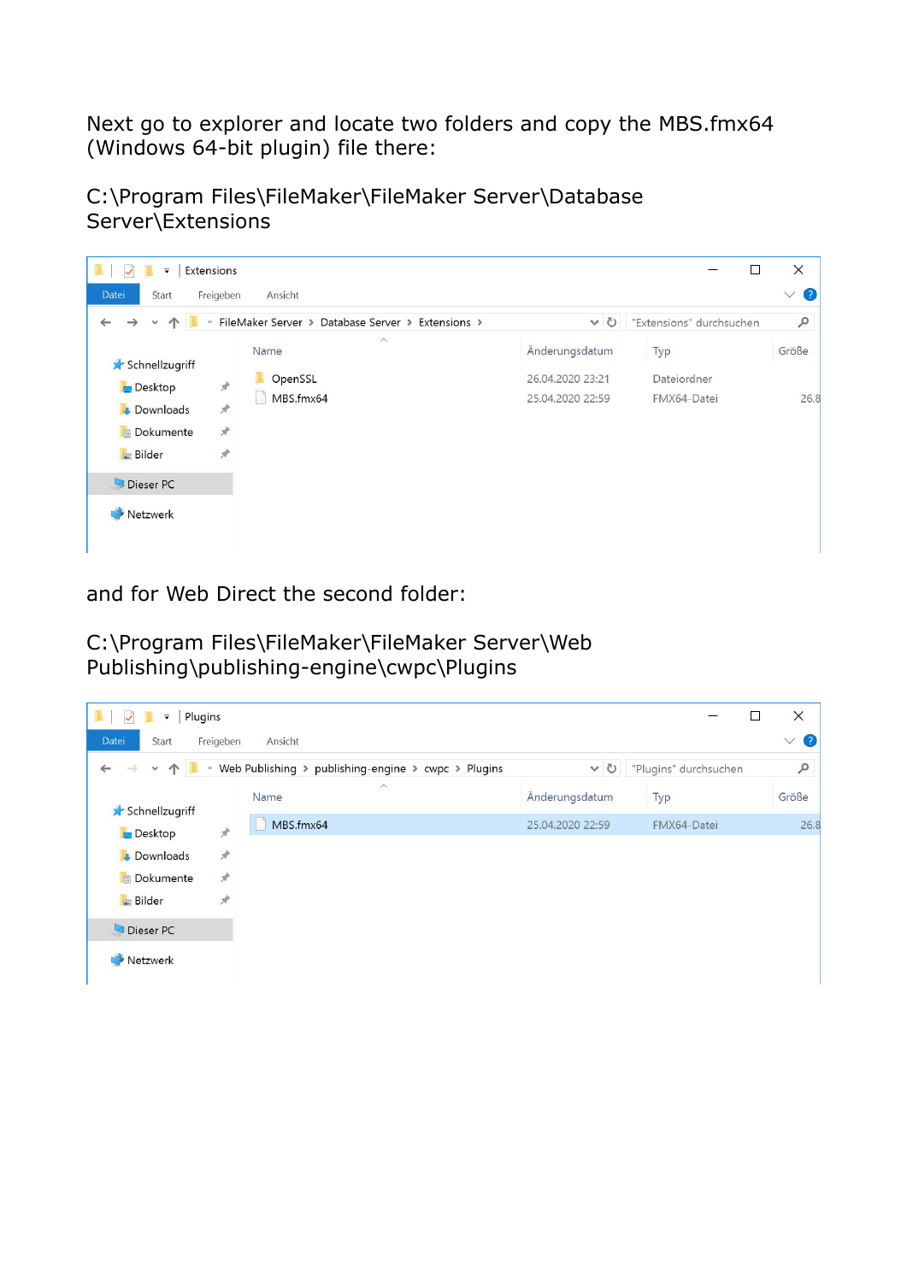Next go to explorer and locate two folders and copy the MBS.fmx64 (Windows 64-bit plugin) file there:

C:\Program Files\FileMaker\FileMaker Server\Database Server\Extensions

| Extensions<br>$\overline{\phantom{a}}$                                |                                                         |                                                        | $\Box$                            | $\times$                          |
|-----------------------------------------------------------------------|---------------------------------------------------------|--------------------------------------------------------|-----------------------------------|-----------------------------------|
| Datei<br>Freigeben<br><b>Start</b>                                    | Ansicht                                                 |                                                        |                                   | $\left( 2\right)$<br>$\checkmark$ |
| $\leftarrow$                                                          | « FileMaker Server > Database Server > Extensions >     | $\vee$ 0                                               | "Extensions" durchsuchen          | $\mathcal{L}$                     |
| Schnellzugriff<br>∦<br><b>Desktop</b>                                 | $\widehat{\phantom{1}}$<br>Name<br>OpenSSL<br>MBS.fmx64 | Änderungsdatum<br>26.04.2020 23:21<br>25.04.2020 22:59 | Typ<br>Dateiordner<br>FMX64-Datei | Größe<br>26.8                     |
| ∦<br><b>J</b> Downloads<br>$\star$<br>Dokumente<br>∦<br><b>Bilder</b> |                                                         |                                                        |                                   |                                   |
| Dieser PC<br>Netzwerk                                                 |                                                         |                                                        |                                   |                                   |

and for Web Direct the second folder:

C:\Program Files\FileMaker\FileMaker Server\Web Publishing\publishing-engine\cwpc\Plugins

| Plugins<br>$\overline{\phantom{a}}$                |                                                       |                 |                       |             | $\times$<br>$\Box$ |
|----------------------------------------------------|-------------------------------------------------------|-----------------|-----------------------|-------------|--------------------|
| Datei<br>Start                                     | Freigeben                                             | Ansicht         |                       |             | $\bf{C}$<br>$\vee$ |
| $\leftarrow$<br>个<br>$\checkmark$<br>$\rightarrow$ | « Web Publishing > publishing-engine > cwpc > Plugins | $\vee$ 0        | "Plugins" durchsuchen | ٩           |                    |
| Schnellzugriff                                     |                                                       | $\land$<br>Name | Änderungsdatum        | Typ         | Größe              |
| $\Box$ Desktop                                     | $\overrightarrow{x}$                                  | MBS.fmx64       | 25.04.2020 22:59      | FMX64-Datei | 26.8               |
| <b>L</b> Downloads                                 | $\overrightarrow{x}$                                  |                 |                       |             |                    |
| <b>Dokumente</b>                                   | $\pi$                                                 |                 |                       |             |                    |
| Bilder                                             | $\star$                                               |                 |                       |             |                    |
| Dieser PC                                          |                                                       |                 |                       |             |                    |
| Netzwerk                                           |                                                       |                 |                       |             |                    |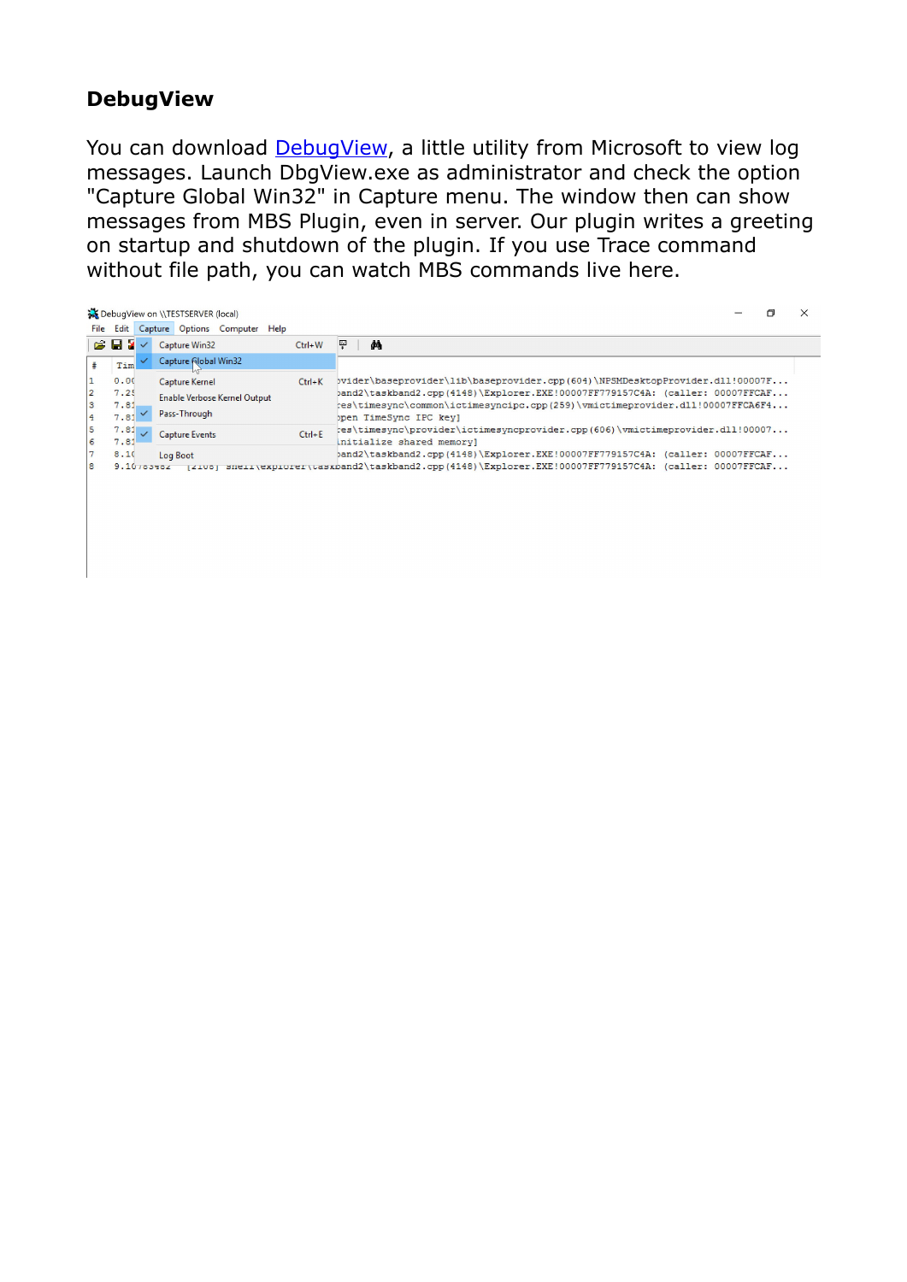#### **DebugView**

You can download **DebugView**, a little utility from Microsoft to view log messages. Launch DbgView.exe as administrator and check the option "Capture Global Win32" in Capture menu. The window then can show messages from MBS Plugin, even in server. Our plugin writes a greeting on startup and shutdown of the plugin. If you use Trace command without file path, you can watch MBS commands live here.

|                                            |                              |              | DebugView on \\TESTSERVER (local)                              |                                                                                                                                                                                        |                                                                                                                                                                                                                                                                        |  |  |
|--------------------------------------------|------------------------------|--------------|----------------------------------------------------------------|----------------------------------------------------------------------------------------------------------------------------------------------------------------------------------------|------------------------------------------------------------------------------------------------------------------------------------------------------------------------------------------------------------------------------------------------------------------------|--|--|
|                                            |                              |              | File Edit Capture Options Computer Help                        |                                                                                                                                                                                        |                                                                                                                                                                                                                                                                        |  |  |
|                                            | $\approx$ H X                | $\checkmark$ | Capture Win32                                                  | $Ctrl + W$                                                                                                                                                                             | 雫<br>dů                                                                                                                                                                                                                                                                |  |  |
|                                            | Tim                          |              | Capture Rlobal Win32                                           |                                                                                                                                                                                        |                                                                                                                                                                                                                                                                        |  |  |
| 1<br>$\overline{2}$<br>3<br>$\overline{4}$ | 0.00<br>7.25<br>7.81<br>7.81 |              | Capture Kernel<br>Enable Verbose Kernel Output<br>Pass-Through | $Ctrl+K$                                                                                                                                                                               | bvider\baseprovider\lib\baseprovider.cpp(604)\NPSMDesktopProvider.dll!00007F<br>band2\taskband2.cpp(4148)\Explorer.EXE!00007FF779157C4A: (caller: 00007FFCAF<br>:es\timesync\common\ictimesyncipc.cpp(259)\vmictimeprovider.dll!00007FFCA6F4<br>ppen TimeSync IPC key] |  |  |
| 5<br>6                                     | 7.81<br>7.81                 |              | <b>Capture Events</b>                                          | $Ctrl + F$                                                                                                                                                                             | es\timesync\provider\ictimesyncprovider.cpp(606)\vmictimeprovider.dll!00007<br>initialize shared memory]                                                                                                                                                               |  |  |
| R                                          | 8.10<br>9.10703702           | Log Boot     |                                                                | band2\taskband2.cpp(4148)\Explorer.EXE!00007FF779157C4A: (caller: 00007FFCAF<br>[2100] SHEII\EXplorer\taskband2\taskband2.cpp(4148)\Explorer.EXE!00007FF779157C4A: (caller: 00007FFCAF |                                                                                                                                                                                                                                                                        |  |  |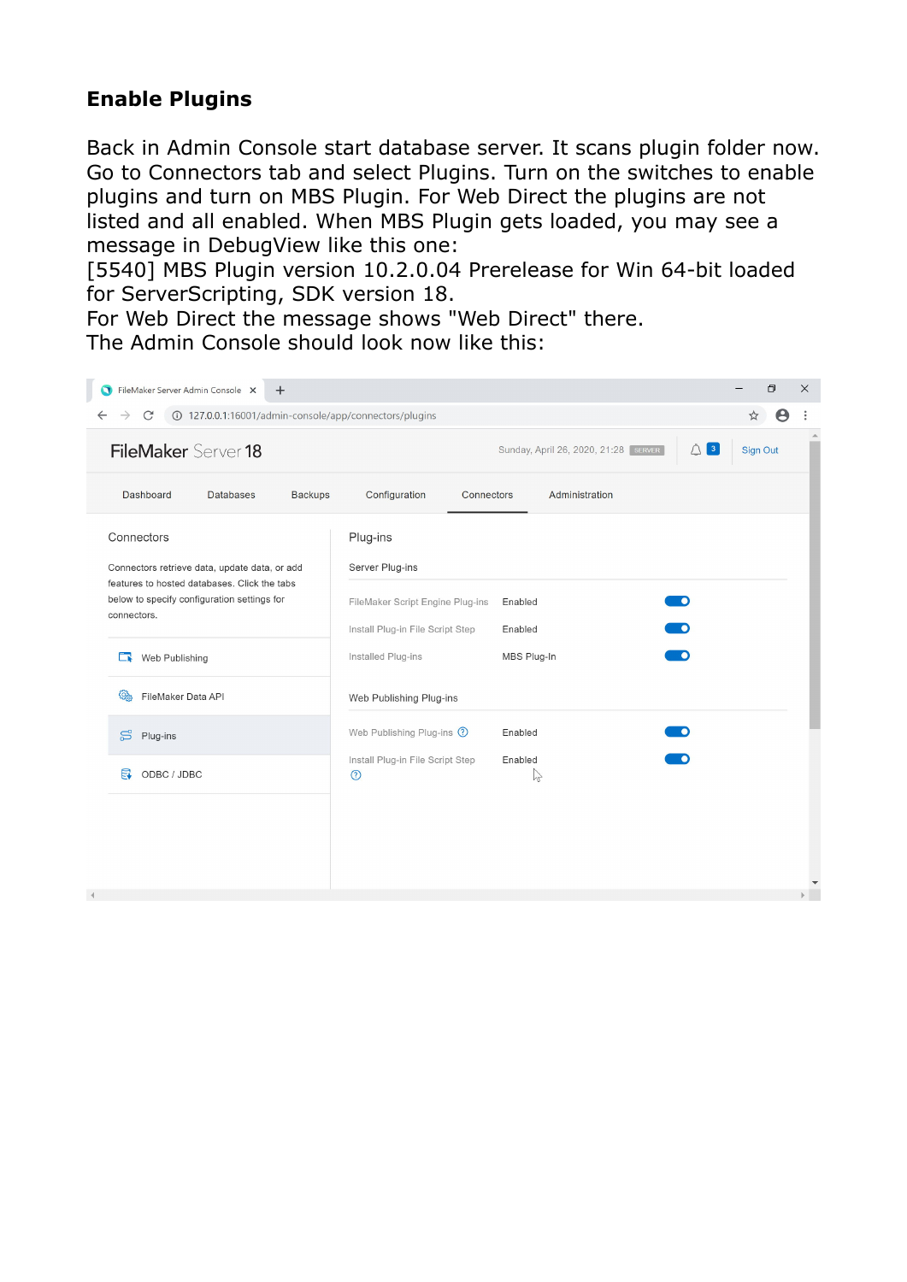## **Enable Plugins**

Back in Admin Console start database server. It scans plugin folder now. Go to Connectors tab and select Plugins. Turn on the switches to enable plugins and turn on MBS Plugin. For Web Direct the plugins are not listed and all enabled. When MBS Plugin gets loaded, you may see a message in DebugView like this one:

[5540] MBS Plugin version 10.2.0.04 Prerelease for Win 64-bit loaded for ServerScripting, SDK version 18.

For Web Direct the message shows "Web Direct" there. The Admin Console should look now like this: